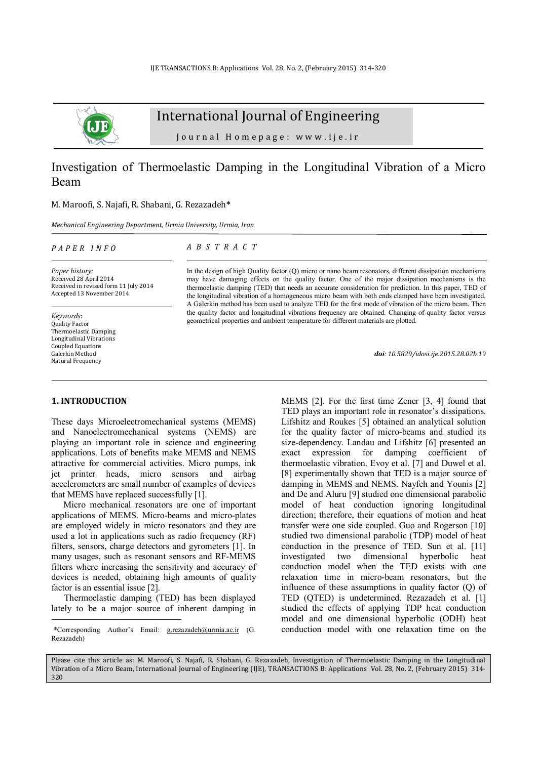

# International Journal of Engineering

Journal Homepage: www.ije.ir

# Investigation of Thermoelastic Damping in the Longitudinal Vibration of a Micro Beam

#### M. Maroofi, S. Najafi, R. Shabani, G. Rezazadeh**\***

*Mechanical Engineering Department, Urmia University, Urmia, Iran*

*P A P E R I N F O*

*A B S T R A C T* 

*Paper history:*  Received 28 April 2014 Received in revised form 11 July 2014 Accepted 13 November 2014

*Keywords*: Quality Factor Thermoelastic Damping Longitudinal Vibrations Coupled Equations Galerkin Method Natural Frequency

In the design of high Quality factor (Q) micro or nano beam resonators, different dissipation mechanisms may have damaging effects on the quality factor. One of the major dissipation mechanisms is the thermoelastic damping (TED) that needs an accurate consideration for prediction. In this paper, TED of the longitudinal vibration of a homogeneous micro beam with both ends clamped have been investigated. A Galerkin method has been used to analyze TED for the first mode of vibration of the micro beam. Then the quality factor and longitudinal vibrations frequency are obtained. Changing of quality factor versus geometrical properties and ambient temperature for different materials are plotted.

*doi: 10.5829/idosi.ije.2015.28.02b.19*

### **1. INTRODUCTION<sup>1</sup>**

l

These days Microelectromechanical systems (MEMS) and Nanoelectromechanical systems (NEMS) are playing an important role in science and engineering applications. Lots of benefits make MEMS and NEMS attractive for commercial activities. Micro pumps, ink jet printer heads, micro sensors and airbag accelerometers are small number of examples of devices that MEMS have replaced successfully [1].

Micro mechanical resonators are one of important applications of MEMS. Micro-beams and micro-plates are employed widely in micro resonators and they are used a lot in applications such as radio frequency (RF) filters, sensors, charge detectors and gyrometers [1]. In many usages, such as resonant sensors and RF-MEMS filters where increasing the sensitivity and accuracy of devices is needed, obtaining high amounts of quality factor is an essential issue [2].

Thermoelastic damping (TED) has been displayed lately to be a major source of inherent damping in MEMS [2]. For the first time Zener [3, 4] found that TED plays an important role in resonator's dissipations. Lifshitz and Roukes [5] obtained an analytical solution for the quality factor of micro-beams and studied its size-dependency. Landau and Lifshitz [6] presented an exact expression for damping coefficient of thermoelastic vibration. Evoy et al. [7] and Duwel et al. [8] experimentally shown that TED is a major source of damping in MEMS and NEMS. Nayfeh and Younis [2] and De and Aluru [9] studied one dimensional parabolic model of heat conduction ignoring longitudinal direction; therefore, their equations of motion and heat transfer were one side coupled. Guo and Rogerson [10] studied two dimensional parabolic (TDP) model of heat conduction in the presence of TED. Sun et al. [11] investigated two dimensional hyperbolic heat conduction model when the TED exists with one relaxation time in micro-beam resonators, but the influence of these assumptions in quality factor (Q) of TED (QTED) is undetermined. Rezazadeh et al. [1] studied the effects of applying TDP heat conduction model and one dimensional hyperbolic (ODH) heat conduction model with one relaxation time on the

Please cite this article as: M. Maroofi, S. Najafi, R. Shabani, G. Rezazadeh, Investigation of Thermoelastic Damping in the Longitudinal Vibration of a Micro Beam, International Journal of Engineering (IJE), TRANSACTIONS B: Applications Vol. 28, No. 2, (February 2015) 314- 320

<sup>1</sup> \*Corresponding Author's Email: [g.rezazadeh@urmia.ac.ir](mailto:g.rezazadeh@urmia.ac.ir) (G. Rezazadeh)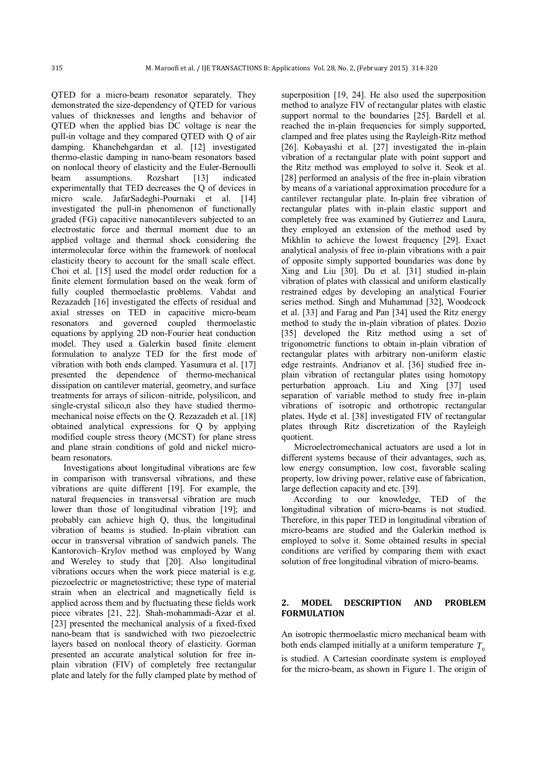QTED for a micro-beam resonator separately. They demonstrated the size-dependency of QTED for various values of thicknesses and lengths and behavior of QTED when the applied bias DC voltage is near the pull-in voltage and they compared QTED with Q of air damping. Khanchehgardan et al. [12] investigated thermo-elastic damping in nano-beam resonators based on nonlocal theory of elasticity and the Euler-Bernoulli<br>beam assumptions. Rozshart [13] indicated beam assumptions. Rozshart [13] indicated experimentally that TED decreases the Q of devices in micro scale. JafarSadeghi-Pournaki et al. [14] investigated the pull-in phenomenon of functionally graded (FG) capacitive nanocantilevers subjected to an electrostatic force and thermal moment due to an applied voltage and thermal shock considering the intermolecular force within the framework of nonlocal elasticity theory to account for the small scale effect. Choi et al. [15] used the model order reduction for a finite element formulation based on the weak form of fully coupled thermoelastic problems. Vahdat and Rezazadeh [16] investigated the effects of residual and axial stresses on TED in capacitive micro-beam resonators and governed coupled thermoelastic equations by applying 2D non-Fourier heat conduction model. They used a Galerkin based finite element formulation to analyze TED for the first mode of vibration with both ends clamped. Yasumura et al. [17] presented the dependence of thermo-mechanical dissipation on cantilever material, geometry, and surface treatments for arrays of silicon–nitride, polysilicon, and single-crystal silico,n also they have studied thermomechanical noise effects on the Q. Rezazadeh et al. [18] obtained analytical expressions for Q by applying modified couple stress theory (MCST) for plane stress and plane strain conditions of gold and nickel microbeam resonators.

Investigations about longitudinal vibrations are few in comparison with transversal vibrations, and these vibrations are quite different [19]. For example, the natural frequencies in transversal vibration are much lower than those of longitudinal vibration [19]; and probably can achieve high Q, thus, the longitudinal vibration of beams is studied. In-plain vibration can occur in transversal vibration of sandwich panels. The Kantorovich–Krylov method was employed by Wang and Wereley to study that [20]. Also longitudinal vibrations occurs when the work piece material is e.g. piezoelectric or magnetostrictive; these type of material strain when an electrical and magnetically field is applied across them and by fluctuating these fields work piece vibrates [21, 22]. Shah-mohammadi-Azar et al. [23] presented the mechanical analysis of a fixed-fixed nano-beam that is sandwiched with two piezoelectric layers based on nonlocal theory of elasticity. Gorman presented an accurate analytical solution for free inplain vibration (FIV) of completely free rectangular plate and lately for the fully clamped plate by method of superposition [19, 24]. He also used the superposition method to analyze FIV of rectangular plates with elastic support normal to the boundaries [25]. Bardell et al. reached the in-plain frequencies for simply supported, clamped and free plates using the Rayleigh-Ritz method [26]. Kobayashi et al. [27] investigated the in-plain vibration of a rectangular plate with point support and the Ritz method was employed to solve it. Seok et al. [28] performed an analysis of the free in-plain vibration by means of a variational approximation procedure for a cantilever rectangular plate. In-plain free vibration of rectangular plates with in-plain elastic support and completely free was examined by Gutierrez and Laura, they employed an extension of the method used by Mikhlin to achieve the lowest frequency [29]. Exact analytical analysis of free in-plain vibrations with a pair of opposite simply supported boundaries was done by Xing and Liu [30]. Du et al. [31] studied in-plain vibration of plates with classical and uniform elastically restrained edges by developing an analytical Fourier series method. Singh and Muhammad [32], Woodcock et al. [33] and Farag and Pan [34] used the Ritz energy method to study the in-plain vibration of plates. Dozio [35] developed the Ritz method using a set of trigonometric functions to obtain in-plain vibration of rectangular plates with arbitrary non-uniform elastic edge restraints. Andrianov et al. [36] studied free inplain vibration of rectangular plates using homotopy perturbation approach. Liu and Xing [37] used separation of variable method to study free in-plain vibrations of isotropic and orthotropic rectangular plates. Hyde et al. [38] investigated FIV of rectangular plates through Ritz discretization of the Rayleigh quotient.

Microelectromechanical actuators are used a lot in different systems because of their advantages, such as, low energy consumption, low cost, favorable scaling property, low driving power, relative ease of fabrication, large deflection capacity and etc. [39].

According to our knowledge, TED of the longitudinal vibration of micro-beams is not studied. Therefore, in this paper TED in longitudinal vibration of micro-beams are studied and the Galerkin method is employed to solve it. Some obtained results in special conditions are verified by comparing them with exact solution of free longitudinal vibration of micro-beams.

### **2. MODEL DESCRIPTION AND PROBLEM FORMULATION**

An isotropic thermoelastic micro mechanical beam with both ends clamped initially at a uniform temperature  $T<sub>0</sub>$ is studied. A Cartesian coordinate system is employed for the micro-beam, as shown in Figure 1. The origin of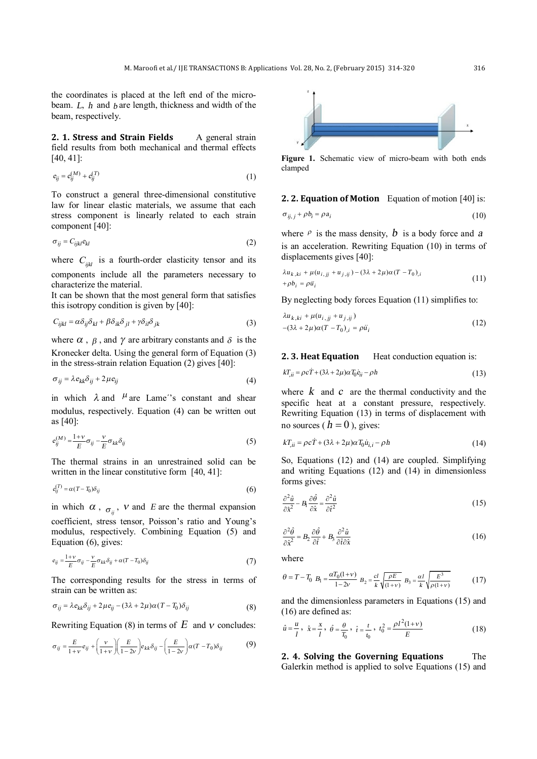the coordinates is placed at the left end of the microbeam. *L*, *<sup>h</sup>* and *<sup>b</sup>* are length, thickness and width of the beam, respectively.

**2. 1. Stress and Strain Fields** A general strain field results from both mechanical and thermal effects [40, 41]:

$$
e_{ij} = e_{ij}^{(M)} + e_{ij}^{(T)} \tag{1}
$$

To construct a general three-dimensional constitutive law for linear elastic materials, we assume that each stress component is linearly related to each strain component [40]:

$$
\sigma_{ij} = C_{ijkl} e_{kl} \tag{2}
$$

where  $C_{ijkl}$  is a fourth-order elasticity tensor and its components include all the parameters necessary to characterize the material.

It can be shown that the most general form that satisfies this isotropy condition is given by [40]:

$$
C_{ijkl} = \alpha \delta_{ij} \delta_{kl} + \beta \delta_{ik} \delta_{jl} + \gamma \delta_{il} \delta_{jk}
$$
 (3)

where  $\alpha$ ,  $\beta$ , and  $\gamma$  are arbitrary constants and  $\delta$  is the Kronecker delta. Using the general form of Equation (3) in the stress-strain relation Equation (2) gives [40]:

$$
\sigma_{ij} = \lambda e_{kk} \delta_{ij} + 2\mu e_{ij} \tag{4}
$$

in which  $\lambda$  and  $\mu$  are Lame<sup>''s</sup> constant and shear modulus, respectively. Equation (4) can be written out as [40]:

$$
e_{ij}^{(M)} = \frac{1+v}{E} \sigma_{ij} - \frac{v}{E} \sigma_{kk} \delta_{ij}
$$
 (5)

The thermal strains in an unrestrained solid can be written in the linear constitutive form [40, 41]:

$$
e_{ij}^{(T)} = \alpha (T - T_0) \delta_{ij} \tag{6}
$$

in which  $\alpha$ ,  $\sigma_{ij}$ ,  $\nu$  and *E* are the thermal expansion coefficient, stress tensor, Poisson's ratio and Young's modulus, respectively. Combining Equation (5) and Equation (6), gives:

$$
e_{ij} = \frac{1+v}{E} \sigma_{ij} - \frac{v}{E} \sigma_{kk} \delta_{ij} + \alpha (T - T_0) \delta_{ij}
$$
 (7)

The corresponding results for the stress in terms of strain can be written as:

$$
\sigma_{ij} = \lambda e_{kk} \delta_{ij} + 2\mu e_{ij} - (3\lambda + 2\mu)\alpha (T - T_0) \delta_{ij}
$$
\n(8)

Rewriting Equation (8) in terms of  $E$  and  $\nu$  concludes:

$$
\sigma_{ij} = \frac{E}{1+v} e_{ij} + \left(\frac{v}{1+v}\right) \left(\frac{E}{1-2v}\right) e_{kk} \delta_{ij} - \left(\frac{E}{1-2v}\right) \alpha (T - T_0) \delta_{ij}
$$
(9)



**Figure 1.** Schematic view of micro-beam with both ends clamped

# **2. 2. Equation of Motion** Equation of motion [40] is:

$$
\sigma_{ij,j} + \rho b_i = \rho a_i \tag{10}
$$

where  $\rho$  is the mass density,  $b$  is a body force and  $a$ is an acceleration. Rewriting Equation (10) in terms of displacements gives [40]:

$$
\lambda u_{k,ki} + \mu(u_{i,jj} + u_{j,ij}) - (3\lambda + 2\mu)\alpha (T - T_0)_{,i}
$$
  
+
$$
\rho b_i = \rho \ddot{u}_i
$$
 (11)

By neglecting body forces Equation (11) simplifies to:

$$
\lambda u_{k,ki} + \mu(u_{i,jj} + u_{j,ij})
$$
  
-(3 $\lambda$  + 2 $\mu$ ) $\alpha$ (T - T<sub>0</sub>)<sub>,i</sub> =  $\rho$ ü<sub>i</sub> (12)

#### **2. 3. Heat Equation** Heat conduction equation is:

$$
kT_{ii} = \rho c \dot{T} + (3\lambda + 2\mu)\alpha T_0 \dot{e}_{ii} - \rho h \tag{13}
$$

where  $k$  and  $c$  are the thermal conductivity and the specific heat at a constant pressure, respectively. Rewriting Equation (13) in terms of displacement with no sources ( $h = 0$ ), gives:

$$
kT_{ii} = \rho c\dot{T} + (3\lambda + 2\mu)\alpha T_0 \dot{u}_{i,i} - \rho h \tag{14}
$$

So, Equations (12) and (14) are coupled. Simplifying and writing Equations (12) and (14) in dimensionless forms gives:

$$
\frac{\partial^2 \hat{u}}{\partial \hat{x}^2} - B_1 \frac{\partial \hat{\theta}}{\partial \hat{x}} = \frac{\partial^2 \hat{u}}{\partial \hat{t}^2}
$$
(15)

$$
\frac{\partial^2 \hat{\theta}}{\partial \hat{x}^2} = B_2 \frac{\partial \hat{\theta}}{\partial \hat{t}} + B_3 \frac{\partial^2 \hat{u}}{\partial \hat{t} \partial \hat{x}}
$$
(16)

where

$$
\theta = T - T_0 \ B_1 = \frac{\alpha T_0 (1 + v)}{1 - 2v} \ B_2 = \frac{cl}{k} \sqrt{\frac{\rho E}{(1 + v)}} \ B_3 = \frac{\alpha l}{k} \sqrt{\frac{E^3}{\rho (1 + v)}} \tag{17}
$$

and the dimensionless parameters in Equations (15) and (16) are defined as:

$$
\hat{u} = \frac{u}{l}, \ \hat{x} = \frac{x}{l}, \ \hat{\theta} = \frac{\theta}{T_0}, \ \hat{t} = \frac{t}{t_0}, \ t_0^2 = \frac{\rho l^2 (1 + v)}{E} \tag{18}
$$

**2. 4. Solving the Governing Equations** The Galerkin method is applied to solve Equations (15) and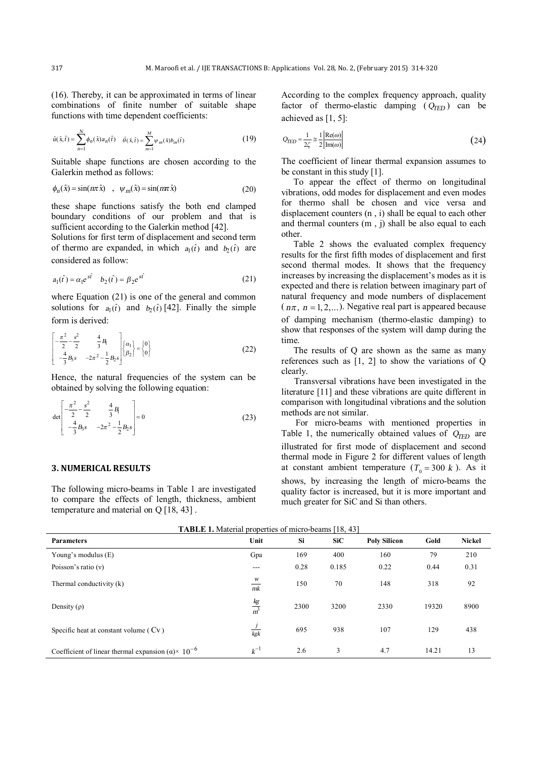(16). Thereby, it can be approximated in terms of linear combinations of finite number of suitable shape functions with time dependent coefficients:

$$
\hat{u}(\hat{x}, \hat{t}) = \sum_{n=1}^{N} \phi_n(\hat{x}) a_n(\hat{t}) \quad \hat{\theta}(\hat{x}, \hat{t}) = \sum_{m=1}^{M} \psi_m(\hat{x}) b_m(\hat{t}) \tag{19}
$$

Suitable shape functions are chosen according to the Galerkin method as follows:

$$
\phi_n(\hat{x}) = \sin(n\pi \hat{x}) \quad , \quad \psi_m(\hat{x}) = \sin(n\pi \hat{x}) \tag{20}
$$

these shape functions satisfy the both end clamped boundary conditions of our problem and that is sufficient according to the Galerkin method [42].

Solutions for first term of displacement and second term of thermo are expanded, in which  $a_1(\hat{t})$  and  $b_2(\hat{t})$  are considered as follow:

$$
a_1(\hat{t}) = \alpha_1 e^{s\hat{t}} \quad b_2(\hat{t}) = \beta_2 e^{s\hat{t}} \tag{21}
$$

where Equation (21) is one of the general and common solutions for  $a_1(\hat{t})$  and  $b_2(\hat{t})$  [42]. Finally the simple form is derived:

$$
\begin{bmatrix} -\frac{\pi^2}{2} - \frac{s^2}{2} & \frac{4}{3}B_1 \\ -\frac{4}{3}B_3 s & -2\pi^2 - \frac{1}{2}B_2 s \end{bmatrix} \begin{bmatrix} \alpha_1 \\ \beta_2 \end{bmatrix} = \begin{bmatrix} 0 \\ 0 \end{bmatrix}
$$
 (22)

Hence, the natural frequencies of the system can be obtained by solving the following equation:

$$
\det \begin{bmatrix} -\frac{\pi^2}{2} - \frac{s^2}{2} & \frac{4}{3}B_1 \\ -\frac{4}{3}B_3s & -2\pi^2 - \frac{1}{2}B_2s \end{bmatrix} = 0
$$
 (23)

## **3. NUMERICAL RESULTS**

The following micro-beams in Table 1 are investigated to compare the effects of length, thickness, ambient temperature and material on Q [18, 43] .

According to the complex frequency approach, quality factor of thermo-elastic damping  $(Q_{\text{TED}})$  can be achieved as [1, 5]:

$$
Q_{\text{IED}} = \frac{1}{2\zeta} \approx \frac{1}{2} \frac{|\text{Re}(\omega)|}{|\text{Im}(\omega)|} \tag{24}
$$

The coefficient of linear thermal expansion assumes to be constant in this study [1].

To appear the effect of thermo on longitudinal vibrations, odd modes for displacement and even modes for thermo shall be chosen and vice versa and displacement counters (n , i) shall be equal to each other and thermal counters (m , j) shall be also equal to each other.

Table 2 shows the evaluated complex frequency results for the first fifth modes of displacement and first second thermal modes. It shows that the frequency increases by increasing the displacement's modes as it is expected and there is relation between imaginary part of natural frequency and mode numbers of displacement  $(n\pi, n=1, 2,...)$ . Negative real part is appeared because of damping mechanism (thermo-elastic damping) to show that responses of the system will damp during the time.

The results of Q are shown as the same as many references such as [1, 2] to show the variations of Q clearly.

Transversal vibrations have been investigated in the literature [11] and these vibrations are quite different in comparison with longitudinal vibrations and the solution methods are not similar.

For micro-beams with mentioned properties in Table 1, the numerically obtained values of  $Q_{\text{TED}}$  are illustrated for first mode of displacement and second thermal mode in Figure 2 for different values of length at constant ambient temperature  $(T_0 = 300 \text{ k})$ . As it shows, by increasing the length of micro-beams the quality factor is increased, but it is more important and much greater for SiC and Si than others.

| <b>TABLE 1.</b> Material properties of micro-beams [18, 43]            |                      |      |            |                     |       |               |
|------------------------------------------------------------------------|----------------------|------|------------|---------------------|-------|---------------|
| <b>Parameters</b>                                                      | Unit                 | Si   | <b>SiC</b> | <b>Poly Silicon</b> | Gold  | <b>Nickel</b> |
| Young's modulus $(E)$                                                  | Gpa                  | 169  | 400        | 160                 | 79    | 210           |
| Poisson's ratio $(v)$                                                  | ---                  | 0.28 | 0.185      | 0.22                | 0.44  | 0.31          |
| Thermal conductivity (k)                                               | W<br>mk              | 150  | 70         | 148                 | 318   | 92            |
| Density $(\rho)$                                                       | $rac{kg}{m^3}$       | 2300 | 3200       | 2330                | 19320 | 8900          |
| Specific heat at constant volume $(Cv)$                                | $\frac{1}{2}$<br>kgk | 695  | 938        | 107                 | 129   | 438           |
| Coefficient of linear thermal expansion ( $\alpha$ )× 10 <sup>-6</sup> | $k^{-1}$             | 2.6  | 3          | 4.7                 | 14.21 | 13            |

**TABLE 1.** Material properties of micro-beams [18, 43]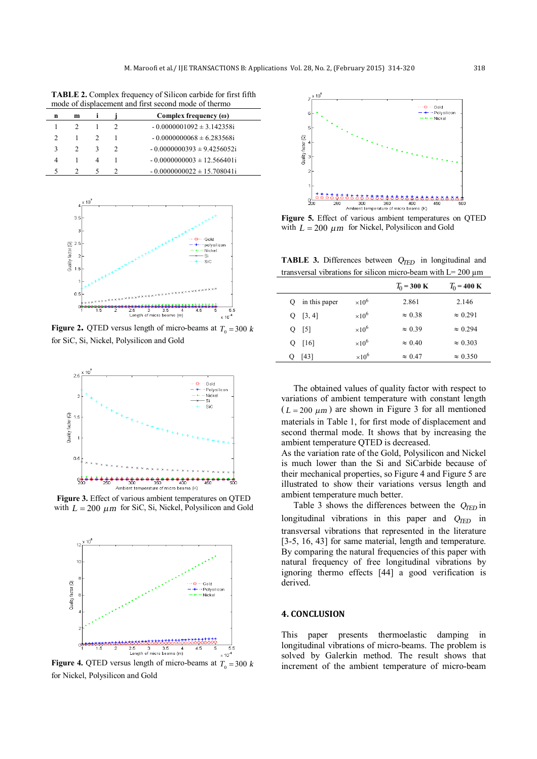**TABLE 2.** Complex frequency of Silicon carbide for first fifth mode of displacement and first second mode of thermo

| n | m |   | Complex frequency $(\omega)$    |
|---|---|---|---------------------------------|
|   |   |   | $-0.0000001092 \pm 3.142358$ i  |
|   |   |   | $-0.0000000068 \pm 6.283568$ i  |
|   |   | κ | $-0.0000000393 \pm 9.4256052$ i |
|   |   | 4 | $-0.0000000003 \pm 12.566401i$  |
|   |   |   | $-0.0000000022 \pm 15.708041$ i |



**Figure 2.** QTED versus length of micro-beams at  $T_0 = 300 \text{ k}$ for SiC, Si, Nickel, Polysilicon and Gold



**Figure 3.** Effect of various ambient temperatures on QTED with  $L = 200 \mu m$  for SiC, Si, Nickel, Polysilicon and Gold



**Figure 4.** QTED versus length of micro-beams at  $T_0 = 300 \text{ k}$ for Nickel, Polysilicon and Gold



**Figure 5.** Effect of various ambient temperatures on QTED with  $L = 200 \mu m$  for Nickel, Polysilicon and Gold

**TABLE 3.** Differences between *QTED* in longitudinal and transversal vibrations for silicon micro-beam with  $L = 200 \mu m$ 

|   |               |               | $T_0 = 300 \text{ K}$ | $T_0 = 400 \text{ K}$ |
|---|---------------|---------------|-----------------------|-----------------------|
| 0 | in this paper | $\times 10^6$ | 2.861                 | 2.146                 |
|   | $Q$ [3, 4]    | $\times 10^6$ | $\approx 0.38$        | $\approx 0.291$       |
|   | $Q$ [5]       | $\times 10^6$ | $\approx 0.39$        | $\approx 0.294$       |
|   | $Q$ [16]      | $\times 10^6$ | $\approx 0.40$        | $\approx 0.303$       |
| О | [43]          | $\times 10^6$ | $\approx 0.47$        | $\approx 0.350$       |

The obtained values of quality factor with respect to variations of ambient temperature with constant length  $(L = 200 \mu m)$  are shown in Figure 3 for all mentioned materials in Table 1, for first mode of displacement and second thermal mode. It shows that by increasing the ambient temperature QTED is decreased.

As the variation rate of the Gold, Polysilicon and Nickel is much lower than the Si and SiCarbide because of their mechanical properties, so Figure 4 and Figure 5 are illustrated to show their variations versus length and ambient temperature much better.

Table 3 shows the differences between the *QTED* in longitudinal vibrations in this paper and  $Q_{\text{TED}}$  in transversal vibrations that represented in the literature [3-5, 16, 43] for same material, length and temperature. By comparing the natural frequencies of this paper with natural frequency of free longitudinal vibrations by ignoring thermo effects [44] a good verification is derived.

#### **4. CONCLUSION**

This paper presents thermoelastic damping in longitudinal vibrations of micro-beams. The problem is solved by Galerkin method. The result shows that increment of the ambient temperature of micro-beam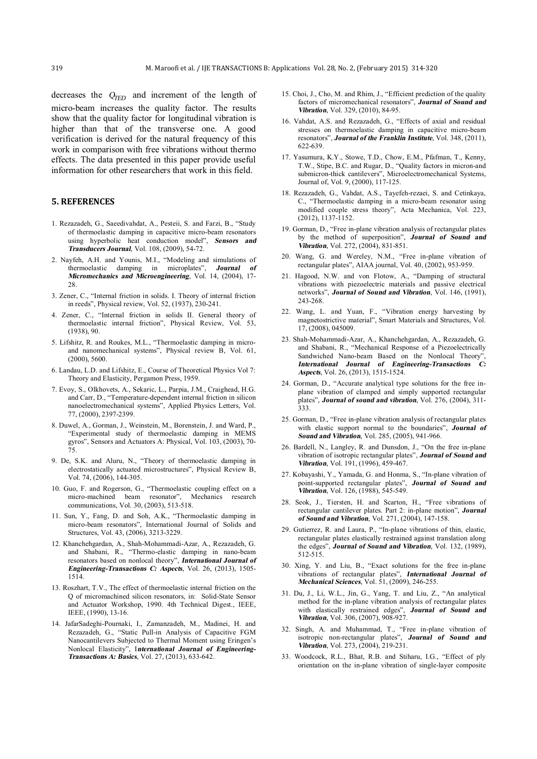decreases the *QTED* and increment of the length of micro-beam increases the quality factor. The results show that the quality factor for longitudinal vibration is higher than that of the transverse one. A good verification is derived for the natural frequency of this work in comparison with free vibrations without thermo effects. The data presented in this paper provide useful information for other researchers that work in this field.

#### **5. REFERENCES**

- 1. Rezazadeh, G., Saeedivahdat, A., Pesteii, S. and Farzi, B., "Study of thermoelastic damping in capacitive micro-beam resonators using hyperbolic heat conduction model", *Sensors and Transducers Journal*, Vol. 108, (2009), 54-72.
- 2. Nayfeh, A.H. and Younis, M.I., "Modeling and simulations of thermoelastic damping in microplates", *Journal of Micromechanics and Microengineering*, Vol. 14, (2004), 17- 28.
- 3. Zener, C., "Internal friction in solids. I. Theory of internal friction in reeds", Physical review, Vol. 52, (1937), 230-241.
- 4. Zener, C., "Internal friction in solids II. General theory of thermoelastic internal friction", Physical Review, Vol. 53, (1938), 90.
- 5. Lifshitz, R. and Roukes, M.L., "Thermoelastic damping in microand nanomechanical systems", Physical review B, Vol. 61, (2000), 5600.
- 6. Landau, L.D. and Lifshitz, E., Course of Theoretical Physics Vol 7: Theory and Elasticity, Pergamon Press, 1959.
- 7. Evoy, S., Olkhovets, A., Sekaric, L., Parpia, J.M., Craighead, H.G. and Carr, D., "Temperature-dependent internal friction in silicon nanoelectromechanical systems", Applied Physics Letters, Vol. 77, (2000), 2397-2399.
- 8. Duwel, A., Gorman, J., Weinstein, M., Borenstein, J. and Ward, P., "Experimental study of thermoelastic damping in MEMS gyros", Sensors and Actuators A: Physical, Vol. 103, (2003), 70- 75.
- 9. De, S.K. and Aluru, N., "Theory of thermoelastic damping in electrostatically actuated microstructures", Physical Review B, Vol. 74, (2006), 144-305.
- 10. Guo, F. and Rogerson, G., "Thermoelastic coupling effect on a micro-machined beam resonator", Mechanics research communications, Vol. 30, (2003), 513-518.
- 11. Sun, Y., Fang, D. and Soh, A.K., "Thermoelastic damping in micro-beam resonators", International Journal of Solids and Structures, Vol. 43, (2006), 3213-3229.
- 12. Khanchehgardan, A., Shah-Mohammadi-Azar, A., Rezazadeh, G. and Shabani, R., "Thermo-elastic damping in nano-beam resonators based on nonlocal theory", *International Journal of Engineering-Transactions C: Aspects*, Vol. 26, (2013), 1505- 1514.
- 13. Roszhart, T.V., The effect of thermoelastic internal friction on the Q of micromachined silicon resonators, in: Solid-State Sensor and Actuator Workshop, 1990. 4th Technical Digest., IEEE, IEEE, (1990), 13-16.
- 14. JafarSadeghi-Pournaki, I., Zamanzadeh, M., Madinei, H. and Rezazadeh, G., "Static Pull-in Analysis of Capacitive FGM Nanocantilevers Subjected to Thermal Moment using Eringen's Nonlocal Elasticity", I*nternational Journal of Engineering-Transactions A: Basics*, Vol. 27, (2013), 633-642.
- 15. Choi, J., Cho, M. and Rhim, J., "Efficient prediction of the quality factors of micromechanical resonators", *Journal of Sound and Vibration*, Vol. 329, (2010), 84-95.
- 16. Vahdat, A.S. and Rezazadeh, G., "Effects of axial and residual stresses on thermoelastic damping in capacitive micro-beam resonators", *Journal of the Franklin Institute*, Vol. 348, (2011), 622-639.
- 17. Yasumura, K.Y., Stowe, T.D., Chow, E.M., Pfafman, T., Kenny, T.W., Stipe, B.C. and Rugar, D., "Quality factors in micron-and submicron-thick cantilevers", Microelectromechanical Systems, Journal of, Vol. 9, (2000), 117-125.
- 18. Rezazadeh, G., Vahdat, A.S., Tayefeh-rezaei, S. and Cetinkaya, C., "Thermoelastic damping in a micro-beam resonator using modified couple stress theory", Acta Mechanica, Vol. 223, (2012), 1137-1152.
- 19. Gorman, D., "Free in-plane vibration analysis of rectangular plates by the method of superposition", *Journal of Sound and Vibration*, Vol. 272, (2004), 831-851.
- 20. Wang, G. and Wereley, N.M., "Free in-plane vibration of rectangular plates", AIAA journal, Vol. 40, (2002), 953-959.
- 21. Hagood, N.W. and von Flotow, A., "Damping of structural vibrations with piezoelectric materials and passive electrical networks", *Journal of Sound and Vibration*, Vol. 146, (1991), 243-268.
- 22. Wang, L. and Yuan, F., "Vibration energy harvesting by magnetostrictive material", Smart Materials and Structures, Vol. 17, (2008), 045009.
- 23. Shah-Mohammadi-Azar, A., Khanchehgardan, A., Rezazadeh, G. and Shabani, R., "Mechanical Response of a Piezoelectrically Sandwiched Nano-beam Based on the Nonlocal Theory", *International Journal of Engineering-Transactions C: Aspects*, Vol. 26, (2013), 1515-1524.
- 24. Gorman, D., "Accurate analytical type solutions for the free inplane vibration of clamped and simply supported rectangular plates", *Journal of sound and vibration*, Vol. 276, (2004), 311- 333.
- 25. Gorman, D., "Free in-plane vibration analysis of rectangular plates with elastic support normal to the boundaries", *Journal of Sound and Vibration*, Vol. 285, (2005), 941-966.
- 26. Bardell, N., Langley, R. and Dunsdon, J., "On the free in-plane vibration of isotropic rectangular plates", *Journal of Sound and Vibration*, Vol. 191, (1996), 459-467.
- 27. Kobayashi, Y., Yamada, G. and Honma, S., "In-plane vibration of point-supported rectangular plates", *Journal of Sound and Vibration*, Vol. 126, (1988), 545-549.
- 28. Seok, J., Tiersten, H. and Scarton, H., "Free vibrations of rectangular cantilever plates. Part 2: in-plane motion", *Journal of Sound and Vibration*, Vol. 271, (2004), 147-158.
- 29. Gutierrez, R. and Laura, P., "In-plane vibrations of thin, elastic, rectangular plates elastically restrained against translation along the edges", *Journal of Sound and Vibration*, Vol. 132, (1989), 512-515.
- 30. Xing, Y. and Liu, B., "Exact solutions for the free in-plane vibrations of rectangular plates", *International Journal of Mechanical Sciences*, Vol. 51, (2009), 246-255.
- 31. Du, J., Li, W.L., Jin, G., Yang, T. and Liu, Z., "An analytical method for the in-plane vibration analysis of rectangular plates with elastically restrained edges", *Journal of Sound and Vibration*, Vol. 306, (2007), 908-927.
- 32. Singh, A. and Muhammad, T., "Free in-plane vibration of isotropic non-rectangular plates", *Journal of Sound and Vibration*, Vol. 273, (2004), 219-231.
- 33. Woodcock, R.L., Bhat, R.B. and Stiharu, I.G., "Effect of ply orientation on the in-plane vibration of single-layer composite